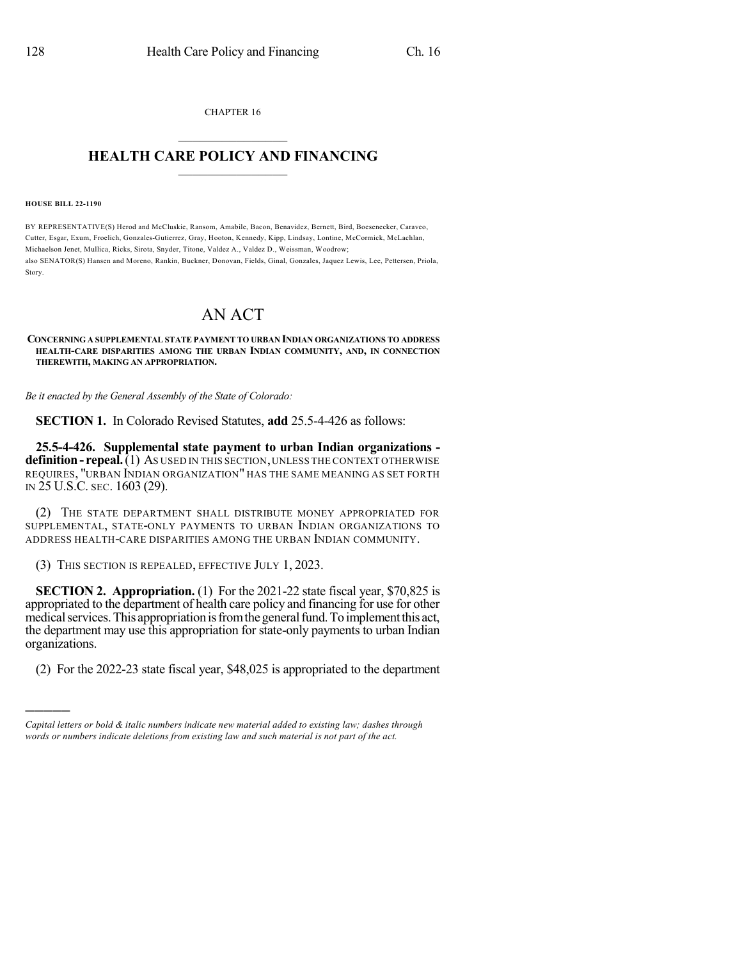CHAPTER 16  $\overline{\phantom{a}}$  . The set of the set of the set of the set of the set of the set of the set of the set of the set of the set of the set of the set of the set of the set of the set of the set of the set of the set of the set o

## **HEALTH CARE POLICY AND FINANCING**  $\_$   $\_$   $\_$   $\_$   $\_$   $\_$   $\_$   $\_$

## **HOUSE BILL 22-1190**

)))))

BY REPRESENTATIVE(S) Herod and McCluskie, Ransom, Amabile, Bacon, Benavidez, Bernett, Bird, Boesenecker, Caraveo, Cutter, Esgar, Exum, Froelich, Gonzales-Gutierrez, Gray, Hooton, Kennedy, Kipp, Lindsay, Lontine, McCormick, McLachlan, Michaelson Jenet, Mullica, Ricks, Sirota, Snyder, Titone, Valdez A., Valdez D., Weissman, Woodrow; also SENATOR(S) Hansen and Moreno, Rankin, Buckner, Donovan, Fields, Ginal, Gonzales, Jaquez Lewis, Lee, Pettersen, Priola, Story.

## AN ACT

**CONCERNING A SUPPLEMENTAL STATE PAYMENT TO URBAN INDIAN ORGANIZATIONS TO ADDRESS HEALTH-CARE DISPARITIES AMONG THE URBAN INDIAN COMMUNITY, AND, IN CONNECTION THEREWITH, MAKING AN APPROPRIATION.**

*Be it enacted by the General Assembly of the State of Colorado:*

**SECTION 1.** In Colorado Revised Statutes, **add** 25.5-4-426 as follows:

**25.5-4-426. Supplemental state payment to urban Indian organizations definition- repeal.**(1) AS USED IN THIS SECTION,UNLESS THE CONTEXT OTHERWISE REQUIRES, "URBAN INDIAN ORGANIZATION" HAS THE SAME MEANING AS SET FORTH IN 25 U.S.C. SEC. 1603 (29).

(2) THE STATE DEPARTMENT SHALL DISTRIBUTE MONEY APPROPRIATED FOR SUPPLEMENTAL, STATE-ONLY PAYMENTS TO URBAN INDIAN ORGANIZATIONS TO ADDRESS HEALTH-CARE DISPARITIES AMONG THE URBAN INDIAN COMMUNITY.

(3) THIS SECTION IS REPEALED, EFFECTIVE JULY 1, 2023.

**SECTION 2. Appropriation.** (1) For the 2021-22 state fiscal year, \$70,825 is appropriated to the department of health care policy and financing for use for other medical services. This appropriation is from the general fund. To implement this act, the department may use this appropriation for state-only payments to urban Indian organizations.

(2) For the 2022-23 state fiscal year, \$48,025 is appropriated to the department

*Capital letters or bold & italic numbers indicate new material added to existing law; dashes through words or numbers indicate deletions from existing law and such material is not part of the act.*